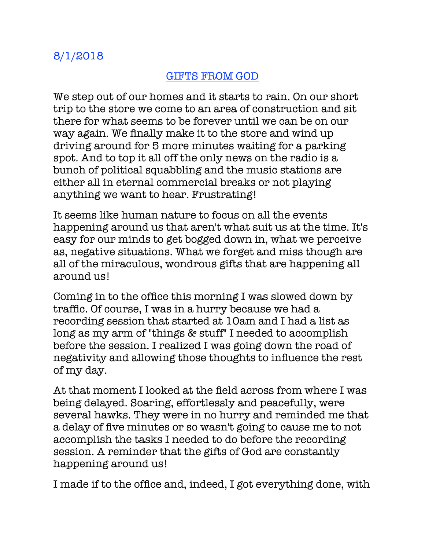## GIFTS FROM GOD

We step out of our homes and it starts to rain. On our short trip to the store we come to an area of construction and sit there for what seems to be forever until we can be on our way again. We finally make it to the store and wind up driving around for 5 more minutes waiting for a parking spot. And to top it all off the only news on the radio is a bunch of political squabbling and the music stations are either all in eternal commercial breaks or not playing anything we want to hear. Frustrating!

It seems like human nature to focus on all the events happening around us that aren't what suit us at the time. It's easy for our minds to get bogged down in, what we perceive as, negative situations. What we forget and miss though are all of the miraculous, wondrous gifts that are happening all around us!

Coming in to the office this morning I was slowed down by traffic. Of course, I was in a hurry because we had a recording session that started at 10am and I had a list as long as my arm of "things & stuff" I needed to accomplish before the session. I realized I was going down the road of negativity and allowing those thoughts to influence the rest of my day.

At that moment I looked at the field across from where I was being delayed. Soaring, effortlessly and peacefully, were several hawks. They were in no hurry and reminded me that a delay of five minutes or so wasn't going to cause me to not accomplish the tasks I needed to do before the recording session. A reminder that the gifts of God are constantly happening around us!

I made if to the office and, indeed, I got everything done, with